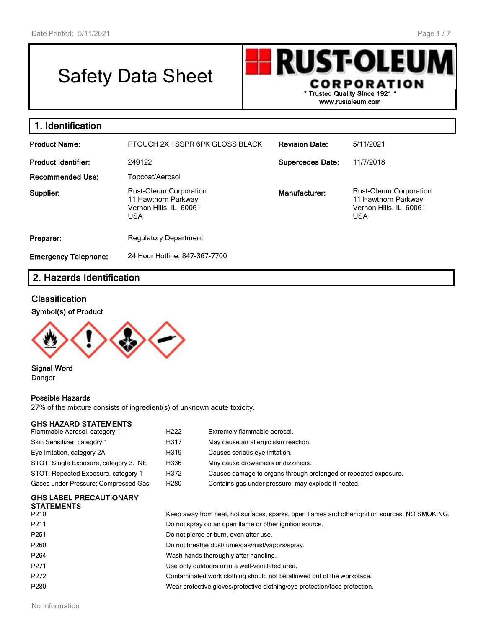# Safety Data Sheet

**lust-ole** CORPORATION **\* Trusted Quality Since 1921 \***

**www.rustoleum.com**

| 1. Identification           |                                                                                       |                         |                                                                                       |
|-----------------------------|---------------------------------------------------------------------------------------|-------------------------|---------------------------------------------------------------------------------------|
| <b>Product Name:</b>        | PTOUCH 2X +SSPR 6PK GLOSS BLACK                                                       | <b>Revision Date:</b>   | 5/11/2021                                                                             |
| <b>Product Identifier:</b>  | 249122                                                                                | <b>Supercedes Date:</b> | 11/7/2018                                                                             |
| <b>Recommended Use:</b>     | Topcoat/Aerosol                                                                       |                         |                                                                                       |
| Supplier:                   | Rust-Oleum Corporation<br>11 Hawthorn Parkway<br>Vernon Hills, IL 60061<br><b>USA</b> | Manufacturer:           | Rust-Oleum Corporation<br>11 Hawthorn Parkway<br>Vernon Hills, IL 60061<br><b>USA</b> |
| Preparer:                   | <b>Regulatory Department</b>                                                          |                         |                                                                                       |
| <b>Emergency Telephone:</b> | 24 Hour Hotline: 847-367-7700                                                         |                         |                                                                                       |

# **2. Hazards Identification**

# **Classification**

#### **Symbol(s) of Product**



#### **Signal Word** Danger

#### **Possible Hazards**

27% of the mixture consists of ingredient(s) of unknown acute toxicity.

#### **GHS HAZARD STATEMENTS**

| Flammable Aerosol, category 1         | H <sub>222</sub> | Extremely flammable aerosol.                                    |
|---------------------------------------|------------------|-----------------------------------------------------------------|
| Skin Sensitizer, category 1           | H317             | May cause an allergic skin reaction.                            |
| Eye Irritation, category 2A           | H319             | Causes serious eye irritation.                                  |
| STOT, Single Exposure, category 3, NE | H336             | May cause drowsiness or dizziness.                              |
| STOT, Repeated Exposure, category 1   | H372             | Causes damage to organs through prolonged or repeated exposure. |
| Gases under Pressure; Compressed Gas  | H <sub>280</sub> | Contains gas under pressure; may explode if heated.             |

# **GHS LABEL PRECAUTIONARY STATEMENTS**

| <b>JIAILMLNIJ</b><br>P210 | Keep away from heat, hot surfaces, sparks, open flames and other ignition sources. NO SMOKING. |
|---------------------------|------------------------------------------------------------------------------------------------|
| P211                      | Do not spray on an open flame or other ignition source.                                        |
| P251                      | Do not pierce or burn, even after use.                                                         |
| P260                      | Do not breathe dust/fume/gas/mist/vapors/spray.                                                |
| P264                      | Wash hands thoroughly after handling.                                                          |
| P271                      | Use only outdoors or in a well-ventilated area.                                                |
| P272                      | Contaminated work clothing should not be allowed out of the workplace.                         |
| P280                      | Wear protective gloves/protective clothing/eye protection/face protection.                     |
|                           |                                                                                                |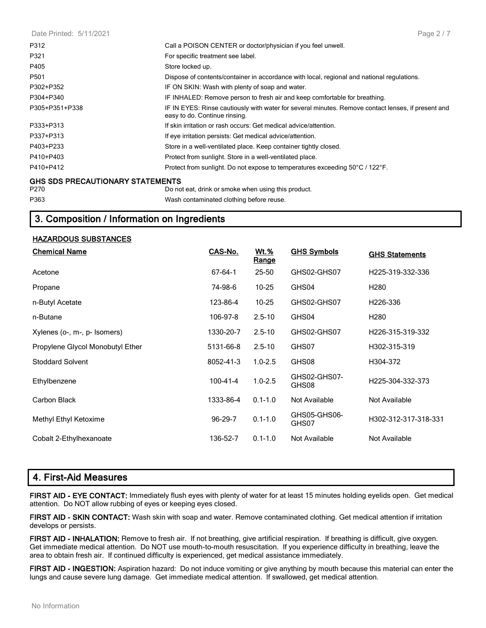Date Printed: 5/11/2021 P312 Call a POISON CENTER or doctor/physician if you feel unwell. P321 **For specific treatment see label.** P405 Store locked up. P501 Dispose of contents/container in accordance with local, regional and national regulations. P302+P352 IF ON SKIN: Wash with plenty of soap and water. P304+P340 IF INHALED: Remove person to fresh air and keep comfortable for breathing. P305+P351+P338 IF IN EYES: Rinse cautiously with water for several minutes. Remove contact lenses, if present and easy to do. Continue rinsing. P333+P313 If skin irritation or rash occurs: Get medical advice/attention. P337+P313 **If eye irritation persists: Get medical advice/attention.** P403+P233 Store in a well-ventilated place. Keep container tightly closed. P410+P403 Protect from sunlight. Store in a well-ventilated place. P410+P412 Protect from sunlight. Do not expose to temperatures exceeding 50°C / 122°F. **GHS SDS PRECAUTIONARY STATEMENTS** P270 Do not eat, drink or smoke when using this product. P363 Wash contaminated clothing before reuse. Page 2 / 7

# **3. Composition / Information on Ingredients**

#### **HAZARDOUS SUBSTANCES**

| <b>Chemical Name</b>             | CAS-No.        | <u>Wt.%</u><br><b>Range</b> | <b>GHS Symbols</b>    | <b>GHS Statements</b> |
|----------------------------------|----------------|-----------------------------|-----------------------|-----------------------|
| Acetone                          | 67-64-1        | 25-50                       | GHS02-GHS07           | H225-319-332-336      |
| Propane                          | 74-98-6        | $10 - 25$                   | GHS04                 | H <sub>280</sub>      |
| n-Butyl Acetate                  | 123-86-4       | $10 - 25$                   | GHS02-GHS07           | H <sub>226</sub> -336 |
| n-Butane                         | 106-97-8       | $2.5 - 10$                  | GHS04                 | H <sub>280</sub>      |
| Xylenes (o-, m-, p- Isomers)     | 1330-20-7      | $2.5 - 10$                  | GHS02-GHS07           | H226-315-319-332      |
| Propylene Glycol Monobutyl Ether | 5131-66-8      | $2.5 - 10$                  | GHS07                 | H302-315-319          |
| <b>Stoddard Solvent</b>          | 8052-41-3      | $1.0 - 2.5$                 | GHS08                 | H304-372              |
| Ethylbenzene                     | $100 - 41 - 4$ | $1.0 - 2.5$                 | GHS02-GHS07-<br>GHS08 | H225-304-332-373      |
| Carbon Black                     | 1333-86-4      | $0.1 - 1.0$                 | Not Available         | Not Available         |
| Methyl Ethyl Ketoxime            | $96-29-7$      | $0.1 - 1.0$                 | GHS05-GHS06-<br>GHS07 | H302-312-317-318-331  |
| Cobalt 2-Ethylhexanoate          | 136-52-7       | $0.1 - 1.0$                 | Not Available         | Not Available         |

# **4. First-Aid Measures**

**FIRST AID - EYE CONTACT:** Immediately flush eyes with plenty of water for at least 15 minutes holding eyelids open. Get medical attention. Do NOT allow rubbing of eyes or keeping eyes closed.

**FIRST AID - SKIN CONTACT:** Wash skin with soap and water. Remove contaminated clothing. Get medical attention if irritation develops or persists.

**FIRST AID - INHALATION:** Remove to fresh air. If not breathing, give artificial respiration. If breathing is difficult, give oxygen. Get immediate medical attention. Do NOT use mouth-to-mouth resuscitation. If you experience difficulty in breathing, leave the area to obtain fresh air. If continued difficulty is experienced, get medical assistance immediately.

**FIRST AID - INGESTION:** Aspiration hazard: Do not induce vomiting or give anything by mouth because this material can enter the lungs and cause severe lung damage. Get immediate medical attention. If swallowed, get medical attention.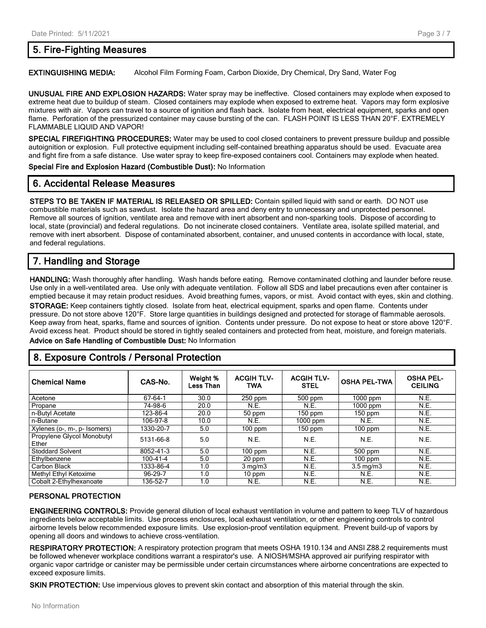# **5. Fire-Fighting Measures**

**EXTINGUISHING MEDIA:** Alcohol Film Forming Foam, Carbon Dioxide, Dry Chemical, Dry Sand, Water Fog

**UNUSUAL FIRE AND EXPLOSION HAZARDS:** Water spray may be ineffective. Closed containers may explode when exposed to extreme heat due to buildup of steam. Closed containers may explode when exposed to extreme heat. Vapors may form explosive mixtures with air. Vapors can travel to a source of ignition and flash back. Isolate from heat, electrical equipment, sparks and open flame. Perforation of the pressurized container may cause bursting of the can. FLASH POINT IS LESS THAN 20°F. EXTREMELY FLAMMABLE LIQUID AND VAPOR!

**SPECIAL FIREFIGHTING PROCEDURES:** Water may be used to cool closed containers to prevent pressure buildup and possible autoignition or explosion. Full protective equipment including self-contained breathing apparatus should be used. Evacuate area and fight fire from a safe distance. Use water spray to keep fire-exposed containers cool. Containers may explode when heated.

**Special Fire and Explosion Hazard (Combustible Dust):** No Information

# **6. Accidental Release Measures**

**STEPS TO BE TAKEN IF MATERIAL IS RELEASED OR SPILLED:** Contain spilled liquid with sand or earth. DO NOT use combustible materials such as sawdust. Isolate the hazard area and deny entry to unnecessary and unprotected personnel. Remove all sources of ignition, ventilate area and remove with inert absorbent and non-sparking tools. Dispose of according to local, state (provincial) and federal regulations. Do not incinerate closed containers. Ventilate area, isolate spilled material, and remove with inert absorbent. Dispose of contaminated absorbent, container, and unused contents in accordance with local, state, and federal regulations.

# **7. Handling and Storage**

**HANDLING:** Wash thoroughly after handling. Wash hands before eating. Remove contaminated clothing and launder before reuse. Use only in a well-ventilated area. Use only with adequate ventilation. Follow all SDS and label precautions even after container is emptied because it may retain product residues. Avoid breathing fumes, vapors, or mist. Avoid contact with eyes, skin and clothing. **STORAGE:** Keep containers tightly closed. Isolate from heat, electrical equipment, sparks and open flame. Contents under pressure. Do not store above 120°F. Store large quantities in buildings designed and protected for storage of flammable aerosols. Keep away from heat, sparks, flame and sources of ignition. Contents under pressure. Do not expose to heat or store above 120°F. Avoid excess heat. Product should be stored in tightly sealed containers and protected from heat, moisture, and foreign materials. **Advice on Safe Handling of Combustible Dust:** No Information

# **8. Exposure Controls / Personal Protection**

| <b>Chemical Name</b>                | CAS-No.        | Weight %<br>Less Than | <b>ACGIH TLV-</b><br><b>TWA</b> | <b>ACGIH TLV-</b><br><b>STEL</b> | <b>OSHA PEL-TWA</b>  | <b>OSHA PEL-</b><br><b>CEILING</b> |
|-------------------------------------|----------------|-----------------------|---------------------------------|----------------------------------|----------------------|------------------------------------|
| Acetone                             | 67-64-1        | 30.0                  | $250$ ppm                       | $500$ ppm                        | $1000$ ppm           | N.E.                               |
| Propane                             | 74-98-6        | 20.0                  | N.E.                            | N.E.                             | $1000$ ppm           | N.E.                               |
| n-Butyl Acetate                     | 123-86-4       | 20.0                  | 50 ppm                          | $150$ ppm                        | $150$ ppm            | N.E.                               |
| n-Butane                            | 106-97-8       | 10.0                  | N.E.                            | $1000$ ppm                       | N.E.                 | N.E.                               |
| Xylenes (o-, m-, p- Isomers)        | 1330-20-7      | 5.0                   | 100 ppm                         | $150$ ppm                        | $100$ ppm            | N.E.                               |
| Propylene Glycol Monobutyl<br>Ether | 5131-66-8      | 5.0                   | N.E.                            | N.E.                             | N.E.                 | N.E.                               |
| <b>Stoddard Solvent</b>             | 8052-41-3      | 5.0                   | $100$ ppm                       | N.E.                             | $500$ ppm            | N.E.                               |
| Ethylbenzene                        | $100 - 41 - 4$ | 5.0                   | 20 ppm                          | N.E.                             | $100$ ppm            | N.E.                               |
| Carbon Black                        | 1333-86-4      | 1.0                   | $3 \text{ mg/m}$                | N.E.                             | $3.5 \text{ ma/m}$ 3 | N.E.                               |
| Methyl Ethyl Ketoxime               | 96-29-7        | 1.0                   | $10$ ppm                        | N.E.                             | N.E.                 | N.E.                               |
| Cobalt 2-Ethylhexanoate             | 136-52-7       | 1.0                   | N.E.                            | N.E.                             | N.E.                 | N.E.                               |

#### **PERSONAL PROTECTION**

**ENGINEERING CONTROLS:** Provide general dilution of local exhaust ventilation in volume and pattern to keep TLV of hazardous ingredients below acceptable limits. Use process enclosures, local exhaust ventilation, or other engineering controls to control airborne levels below recommended exposure limits. Use explosion-proof ventilation equipment. Prevent build-up of vapors by opening all doors and windows to achieve cross-ventilation.

**RESPIRATORY PROTECTION:** A respiratory protection program that meets OSHA 1910.134 and ANSI Z88.2 requirements must be followed whenever workplace conditions warrant a respirator's use. A NIOSH/MSHA approved air purifying respirator with organic vapor cartridge or canister may be permissible under certain circumstances where airborne concentrations are expected to exceed exposure limits.

**SKIN PROTECTION:** Use impervious gloves to prevent skin contact and absorption of this material through the skin.

Page 3 / 7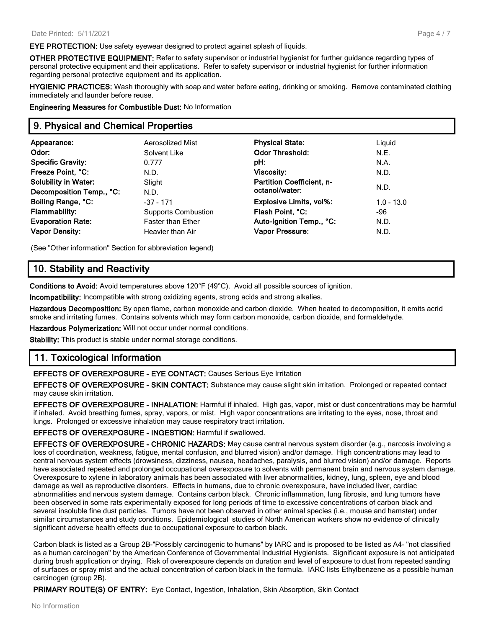**EYE PROTECTION:** Use safety eyewear designed to protect against splash of liquids.

**OTHER PROTECTIVE EQUIPMENT:** Refer to safety supervisor or industrial hygienist for further guidance regarding types of personal protective equipment and their applications. Refer to safety supervisor or industrial hygienist for further information regarding personal protective equipment and its application.

**HYGIENIC PRACTICES:** Wash thoroughly with soap and water before eating, drinking or smoking. Remove contaminated clothing immediately and launder before reuse.

**Engineering Measures for Combustible Dust:** No Information

#### **9. Physical and Chemical Properties**

| Appearance:                 | Aerosolized Mist           | <b>Physical State:</b>           | Liquid       |
|-----------------------------|----------------------------|----------------------------------|--------------|
| Odor:                       | Solvent Like               | <b>Odor Threshold:</b>           | N.E.         |
| <b>Specific Gravity:</b>    | 0.777                      | pH:                              | N.A.         |
| Freeze Point, °C:           | N.D.                       | <b>Viscosity:</b>                | N.D.         |
| <b>Solubility in Water:</b> | Slight                     | <b>Partition Coefficient, n-</b> |              |
| Decomposition Temp., °C:    | N.D.                       | octanol/water:                   | N.D.         |
| Boiling Range, °C:          | $-37 - 171$                | <b>Explosive Limits, vol%:</b>   | $1.0 - 13.0$ |
| <b>Flammability:</b>        | <b>Supports Combustion</b> | Flash Point, °C:                 | -96          |
| <b>Evaporation Rate:</b>    | <b>Faster than Ether</b>   | Auto-Ignition Temp., °C:         | N.D.         |
| <b>Vapor Density:</b>       | Heavier than Air           | <b>Vapor Pressure:</b>           | N.D.         |
|                             |                            |                                  |              |

(See "Other information" Section for abbreviation legend)

# **10. Stability and Reactivity**

**Conditions to Avoid:** Avoid temperatures above 120°F (49°C). Avoid all possible sources of ignition.

**Incompatibility:** Incompatible with strong oxidizing agents, strong acids and strong alkalies.

**Hazardous Decomposition:** By open flame, carbon monoxide and carbon dioxide. When heated to decomposition, it emits acrid smoke and irritating fumes. Contains solvents which may form carbon monoxide, carbon dioxide, and formaldehyde.

**Hazardous Polymerization:** Will not occur under normal conditions.

**Stability:** This product is stable under normal storage conditions.

# **11. Toxicological Information**

**EFFECTS OF OVEREXPOSURE - EYE CONTACT:** Causes Serious Eye Irritation

**EFFECTS OF OVEREXPOSURE - SKIN CONTACT:** Substance may cause slight skin irritation. Prolonged or repeated contact may cause skin irritation.

**EFFECTS OF OVEREXPOSURE - INHALATION:** Harmful if inhaled. High gas, vapor, mist or dust concentrations may be harmful if inhaled. Avoid breathing fumes, spray, vapors, or mist. High vapor concentrations are irritating to the eyes, nose, throat and lungs. Prolonged or excessive inhalation may cause respiratory tract irritation.

#### **EFFECTS OF OVEREXPOSURE - INGESTION:** Harmful if swallowed.

**EFFECTS OF OVEREXPOSURE - CHRONIC HAZARDS:** May cause central nervous system disorder (e.g., narcosis involving a loss of coordination, weakness, fatigue, mental confusion, and blurred vision) and/or damage. High concentrations may lead to central nervous system effects (drowsiness, dizziness, nausea, headaches, paralysis, and blurred vision) and/or damage. Reports have associated repeated and prolonged occupational overexposure to solvents with permanent brain and nervous system damage. Overexposure to xylene in laboratory animals has been associated with liver abnormalities, kidney, lung, spleen, eye and blood damage as well as reproductive disorders. Effects in humans, due to chronic overexposure, have included liver, cardiac abnormalities and nervous system damage. Contains carbon black. Chronic inflammation, lung fibrosis, and lung tumors have been observed in some rats experimentally exposed for long periods of time to excessive concentrations of carbon black and several insoluble fine dust particles. Tumors have not been observed in other animal species (i.e., mouse and hamster) under similar circumstances and study conditions. Epidemiological studies of North American workers show no evidence of clinically significant adverse health effects due to occupational exposure to carbon black.

Carbon black is listed as a Group 2B-"Possibly carcinogenic to humans" by IARC and is proposed to be listed as A4- "not classified as a human carcinogen" by the American Conference of Governmental Industrial Hygienists. Significant exposure is not anticipated during brush application or drying. Risk of overexposure depends on duration and level of exposure to dust from repeated sanding of surfaces or spray mist and the actual concentration of carbon black in the formula. IARC lists Ethylbenzene as a possible human carcinogen (group 2B).

**PRIMARY ROUTE(S) OF ENTRY:** Eye Contact, Ingestion, Inhalation, Skin Absorption, Skin Contact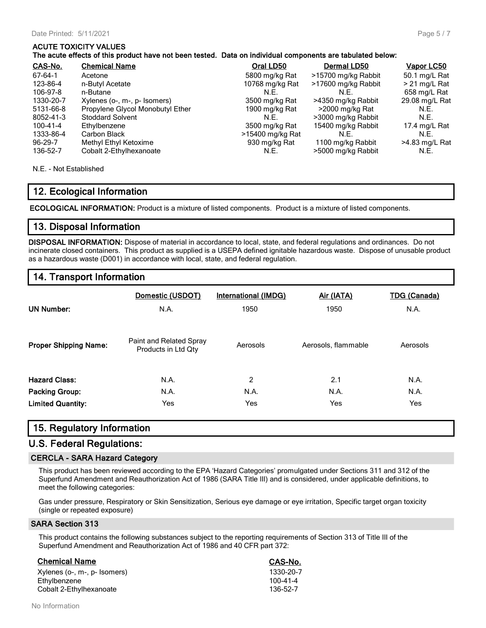#### **ACUTE TOXICITY VALUES**

| The acute effects of this product have not been tested. Data on individual components are tabulated below: |  |
|------------------------------------------------------------------------------------------------------------|--|
|------------------------------------------------------------------------------------------------------------|--|

| CAS-No.   | <b>Chemical Name</b>             | Oral LD50        | Dermal LD50         | <u>Vapor LC50</u> |
|-----------|----------------------------------|------------------|---------------------|-------------------|
| 67-64-1   | Acetone                          | 5800 mg/kg Rat   | >15700 mg/kg Rabbit | 50.1 mg/L Rat     |
| 123-86-4  | n-Butyl Acetate                  | 10768 mg/kg Rat  | >17600 mg/kg Rabbit | > 21 mg/L Rat     |
| 106-97-8  | n-Butane                         | N.E.             | N.E.                | 658 mg/L Rat      |
| 1330-20-7 | Xylenes (o-, m-, p- Isomers)     | 3500 mg/kg Rat   | >4350 mg/kg Rabbit  | 29.08 mg/L Rat    |
| 5131-66-8 | Propylene Glycol Monobutyl Ether | 1900 mg/kg Rat   | >2000 mg/kg Rat     | N.E.              |
| 8052-41-3 | <b>Stoddard Solvent</b>          | N.F.             | >3000 mg/kg Rabbit  | N.E.              |
| 100-41-4  | Ethylbenzene                     | 3500 mg/kg Rat   | 15400 mg/kg Rabbit  | 17.4 mg/L Rat     |
| 1333-86-4 | Carbon Black                     | >15400 mg/kg Rat | N.E.                | N.E.              |
| $96-29-7$ | Methyl Ethyl Ketoxime            | 930 mg/kg Rat    | 1100 mg/kg Rabbit   | >4.83 mg/L Rat    |
| 136-52-7  | Cobalt 2-Ethylhexanoate          | N.E.             | >5000 mg/kg Rabbit  | N.E.              |

N.E. - Not Established

# **12. Ecological Information**

**ECOLOGICAL INFORMATION:** Product is a mixture of listed components. Product is a mixture of listed components.

# **13. Disposal Information**

**DISPOSAL INFORMATION:** Dispose of material in accordance to local, state, and federal regulations and ordinances. Do not incinerate closed containers. This product as supplied is a USEPA defined ignitable hazardous waste. Dispose of unusable product as a hazardous waste (D001) in accordance with local, state, and federal regulation.

# **14. Transport Information**

| <b>UN Number:</b>            | Domestic (USDOT)<br><b>N.A.</b>                | <b>International (IMDG)</b><br>1950 | Air (IATA)<br>1950  | <b>TDG (Canada)</b><br>N.A. |
|------------------------------|------------------------------------------------|-------------------------------------|---------------------|-----------------------------|
| <b>Proper Shipping Name:</b> | Paint and Related Spray<br>Products in Ltd Qty | Aerosols                            | Aerosols, flammable | Aerosols                    |
| <b>Hazard Class:</b>         | N.A.                                           | 2                                   | 2.1                 | N.A.                        |
| <b>Packing Group:</b>        | N.A.                                           | N.A.                                | N.A.                | N.A.                        |
| <b>Limited Quantity:</b>     | Yes                                            | Yes                                 | Yes                 | Yes                         |

# **15. Regulatory Information**

#### **U.S. Federal Regulations:**

#### **CERCLA - SARA Hazard Category**

This product has been reviewed according to the EPA 'Hazard Categories' promulgated under Sections 311 and 312 of the Superfund Amendment and Reauthorization Act of 1986 (SARA Title III) and is considered, under applicable definitions, to meet the following categories:

Gas under pressure, Respiratory or Skin Sensitization, Serious eye damage or eye irritation, Specific target organ toxicity (single or repeated exposure)

#### **SARA Section 313**

This product contains the following substances subject to the reporting requirements of Section 313 of Title III of the Superfund Amendment and Reauthorization Act of 1986 and 40 CFR part 372:

#### **Chemical Name CAS-No.** Xylenes (o-, m-, p- Isomers) 1330-20-7 Ethylbenzene 100-41-4<br>Cobalt 2-Ethylhexanoate 136-52-7 Cobalt 2-Ethylhexanoate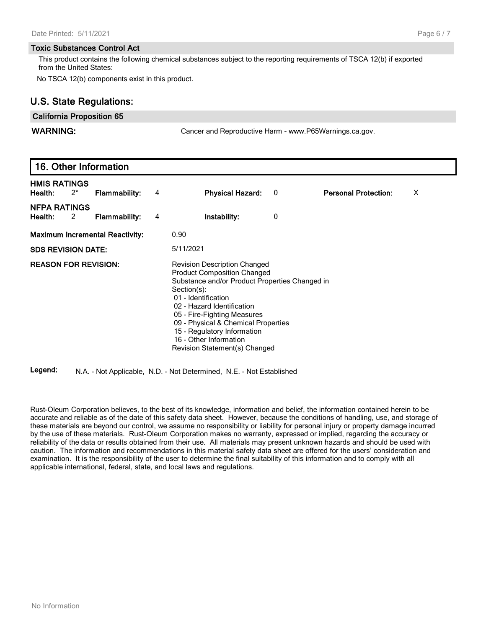#### **Toxic Substances Control Act**

This product contains the following chemical substances subject to the reporting requirements of TSCA 12(b) if exported from the United States:

No TSCA 12(b) components exist in this product.

# **U.S. State Regulations:**

#### **California Proposition 65**

**WARNING:** Cancer and Reproductive Harm - www.P65Warnings.ca.gov.

|                                |       | 16. Other Information                  |   |                                                                                                                                                                                                                                                                                                                                                                 |   |                             |   |  |
|--------------------------------|-------|----------------------------------------|---|-----------------------------------------------------------------------------------------------------------------------------------------------------------------------------------------------------------------------------------------------------------------------------------------------------------------------------------------------------------------|---|-----------------------------|---|--|
| <b>HMIS RATINGS</b><br>Health: | $2^*$ | <b>Flammability:</b>                   | 4 | <b>Physical Hazard:</b>                                                                                                                                                                                                                                                                                                                                         | 0 | <b>Personal Protection:</b> | X |  |
| <b>NFPA RATINGS</b><br>Health: | 2     | <b>Flammability:</b>                   | 4 | Instability:                                                                                                                                                                                                                                                                                                                                                    | 0 |                             |   |  |
|                                |       | <b>Maximum Incremental Reactivity:</b> |   | 0.90                                                                                                                                                                                                                                                                                                                                                            |   |                             |   |  |
| <b>SDS REVISION DATE:</b>      |       |                                        |   | 5/11/2021                                                                                                                                                                                                                                                                                                                                                       |   |                             |   |  |
| <b>REASON FOR REVISION:</b>    |       |                                        |   | <b>Revision Description Changed</b><br><b>Product Composition Changed</b><br>Substance and/or Product Properties Changed in<br>Section(s):<br>01 - Identification<br>02 - Hazard Identification<br>05 - Fire-Fighting Measures<br>09 - Physical & Chemical Properties<br>15 - Regulatory Information<br>16 - Other Information<br>Revision Statement(s) Changed |   |                             |   |  |

**Legend:** N.A. - Not Applicable, N.D. - Not Determined, N.E. - Not Established

Rust-Oleum Corporation believes, to the best of its knowledge, information and belief, the information contained herein to be accurate and reliable as of the date of this safety data sheet. However, because the conditions of handling, use, and storage of these materials are beyond our control, we assume no responsibility or liability for personal injury or property damage incurred by the use of these materials. Rust-Oleum Corporation makes no warranty, expressed or implied, regarding the accuracy or reliability of the data or results obtained from their use. All materials may present unknown hazards and should be used with caution. The information and recommendations in this material safety data sheet are offered for the users' consideration and examination. It is the responsibility of the user to determine the final suitability of this information and to comply with all applicable international, federal, state, and local laws and regulations.